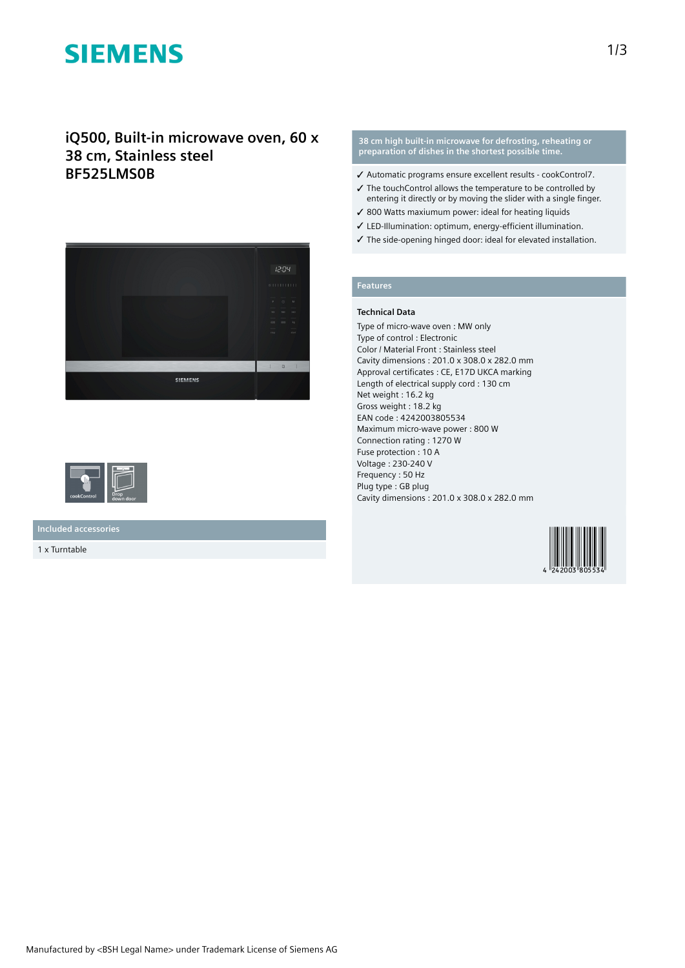# **SIEMENS**

## **iQ500, Built-in microwave oven, 60 x 38 cm, Stainless steel BF525LMS0B**





**Included accessories**

1 x Turntable

#### **38 cm high built-in microwave for defrosting, reheating or preparation of dishes in the shortest possible time.**

- ✓ Automatic programs ensure excellent results cookControl7.
- ✓ The touchControl allows the temperature to be controlled by entering it directly or by moving the slider with a single finger.
- ✓ 800 Watts maxiumum power: ideal for heating liquids
- ✓ LED-Illumination: optimum, energy-efficient illumination.
- ✓ The side-opening hinged door: ideal for elevated installation.

## **Features**

### **Technical Data**

Type of micro-wave oven : MW only Type of control : Electronic Color / Material Front : Stainless steel Cavity dimensions : 201.0 x 308.0 x 282.0 mm Approval certificates : CE, E17D UKCA marking Length of electrical supply cord : 130 cm Net weight : 16.2 kg Gross weight : 18.2 kg EAN code : 4242003805534 Maximum micro-wave power : 800 W Connection rating : 1270 W Fuse protection : 10 A Voltage : 230-240 V Frequency : 50 Hz Plug type : GB plug Cavity dimensions : 201.0 x 308.0 x 282.0 mm

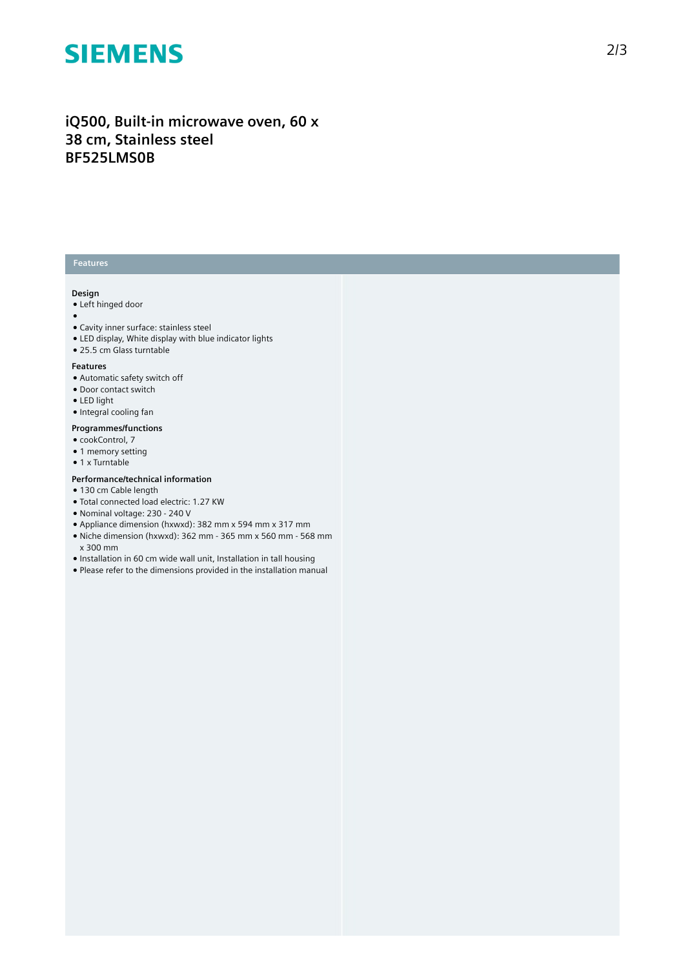# **SIEMENS**

# **iQ500, Built-in microwave oven, 60 x 38 cm, Stainless steel BF525LMS0B**

## **Features**

### **Design**

- Left hinged door
- ●
- Cavity inner surface: stainless steel
- LED display, White display with blue indicator lights
- 25.5 cm Glass turntable

#### **Features**

- Automatic safety switch off
- Door contact switch
- LED light
- Integral cooling fan

#### **Programmes/functions**

- cookControl, 7
- 1 memory setting
- 1 x Turntable

### **Performance/technical information**

- 130 cm Cable length
- Total connected load electric: 1.27 KW
- Nominal voltage: 230 240 V
- Appliance dimension (hxwxd): 382 mm x 594 mm x 317 mm
- Niche dimension (hxwxd): 362 mm 365 mm x 560 mm 568 mm x 300 mm
- Installation in 60 cm wide wall unit, Installation in tall housing
- Please refer to the dimensions provided in the installation manual